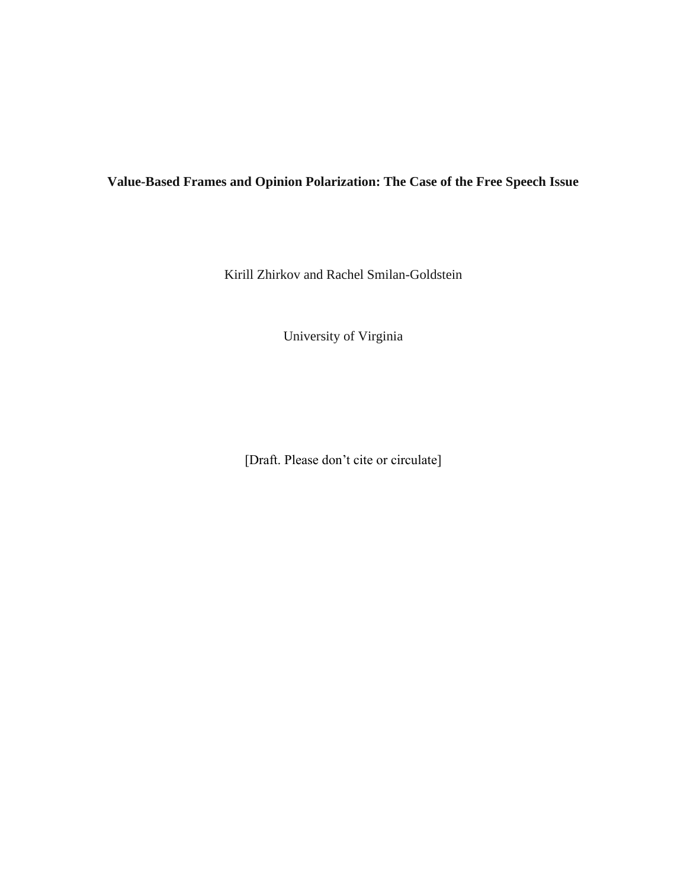# **Value-Based Frames and Opinion Polarization: The Case of the Free Speech Issue**

Kirill Zhirkov and Rachel Smilan-Goldstein

University of Virginia

[Draft. Please don't cite or circulate]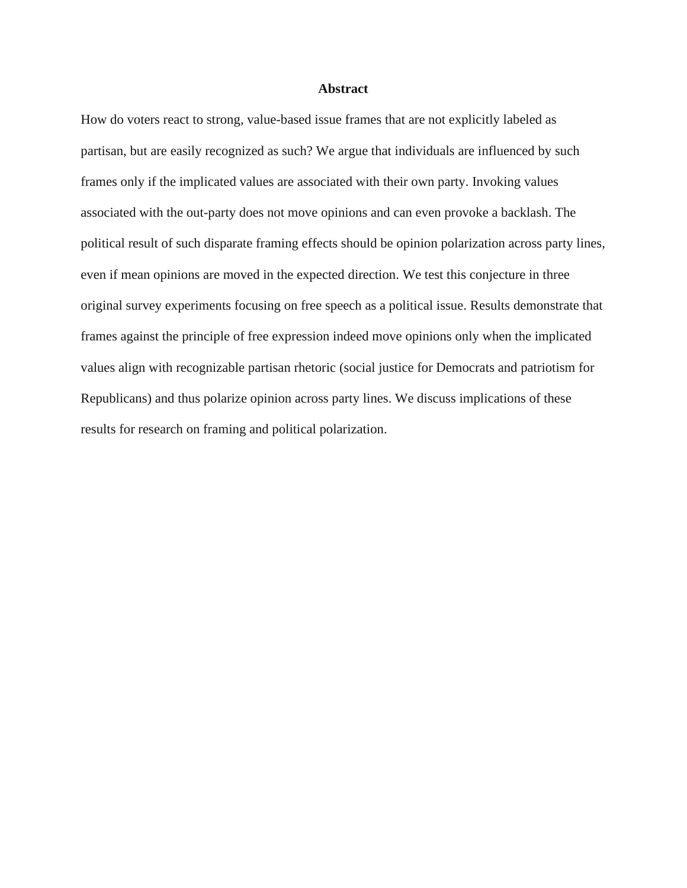#### **Abstract**

How do voters react to strong, value-based issue frames that are not explicitly labeled as partisan, but are easily recognized as such? We argue that individuals are influenced by such frames only if the implicated values are associated with their own party. Invoking values associated with the out-party does not move opinions and can even provoke a backlash. The political result of such disparate framing effects should be opinion polarization across party lines, even if mean opinions are moved in the expected direction. We test this conjecture in three original survey experiments focusing on free speech as a political issue. Results demonstrate that frames against the principle of free expression indeed move opinions only when the implicated values align with recognizable partisan rhetoric (social justice for Democrats and patriotism for Republicans) and thus polarize opinion across party lines. We discuss implications of these results for research on framing and political polarization.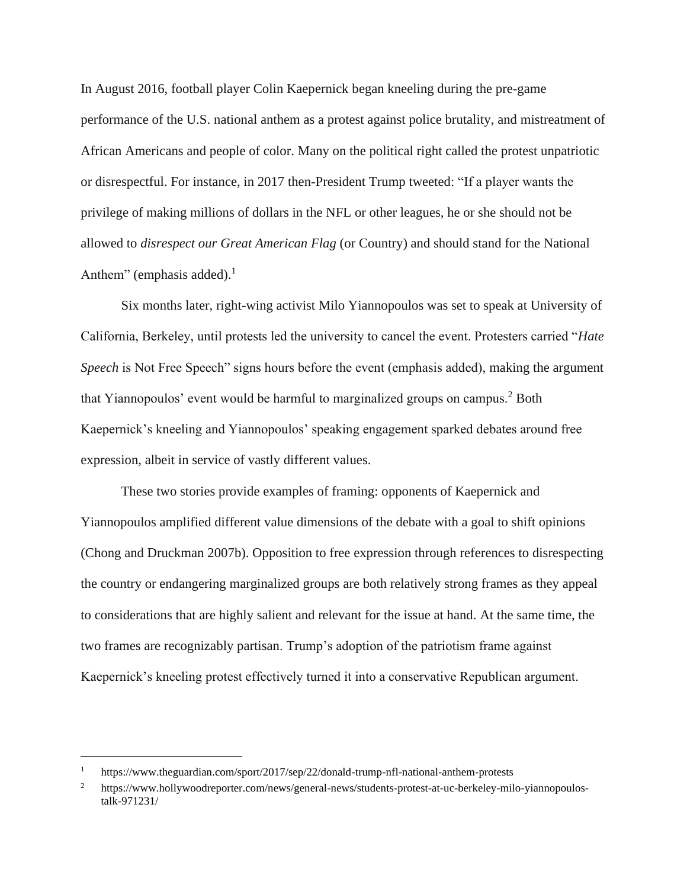In August 2016, football player Colin Kaepernick began kneeling during the pre-game performance of the U.S. national anthem as a protest against police brutality, and mistreatment of African Americans and people of color. Many on the political right called the protest unpatriotic or disrespectful. For instance, in 2017 then-President Trump tweeted: "If a player wants the privilege of making millions of dollars in the NFL or other leagues, he or she should not be allowed to *disrespect our Great American Flag* (or Country) and should stand for the National Anthem" (emphasis added). $<sup>1</sup>$ </sup>

Six months later, right-wing activist Milo Yiannopoulos was set to speak at University of California, Berkeley, until protests led the university to cancel the event. Protesters carried "*Hate Speech* is Not Free Speech" signs hours before the event (emphasis added), making the argument that Yiannopoulos' event would be harmful to marginalized groups on campus.<sup>2</sup> Both Kaepernick's kneeling and Yiannopoulos' speaking engagement sparked debates around free expression, albeit in service of vastly different values.

These two stories provide examples of framing: opponents of Kaepernick and Yiannopoulos amplified different value dimensions of the debate with a goal to shift opinions (Chong and Druckman 2007b). Opposition to free expression through references to disrespecting the country or endangering marginalized groups are both relatively strong frames as they appeal to considerations that are highly salient and relevant for the issue at hand. At the same time, the two frames are recognizably partisan. Trump's adoption of the patriotism frame against Kaepernick's kneeling protest effectively turned it into a conservative Republican argument.

<sup>1</sup> https://www.theguardian.com/sport/2017/sep/22/donald-trump-nfl-national-anthem-protests

<sup>&</sup>lt;sup>2</sup> https://www.hollywoodreporter.com/news/general-news/students-protest-at-uc-berkeley-milo-yiannopoulostalk-971231/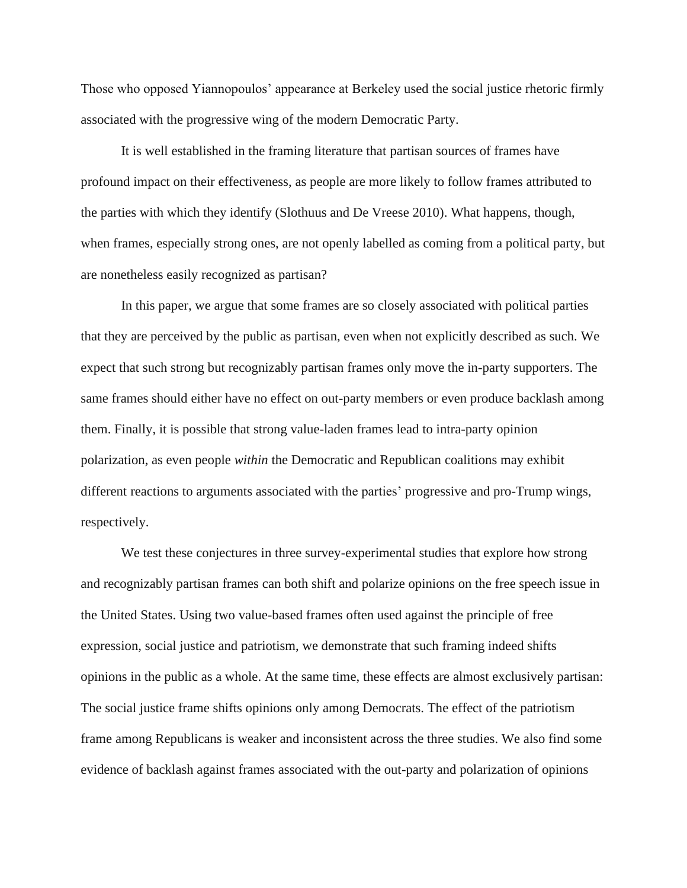Those who opposed Yiannopoulos' appearance at Berkeley used the social justice rhetoric firmly associated with the progressive wing of the modern Democratic Party.

It is well established in the framing literature that partisan sources of frames have profound impact on their effectiveness, as people are more likely to follow frames attributed to the parties with which they identify (Slothuus and De Vreese 2010). What happens, though, when frames, especially strong ones, are not openly labelled as coming from a political party, but are nonetheless easily recognized as partisan?

In this paper, we argue that some frames are so closely associated with political parties that they are perceived by the public as partisan, even when not explicitly described as such. We expect that such strong but recognizably partisan frames only move the in-party supporters. The same frames should either have no effect on out-party members or even produce backlash among them. Finally, it is possible that strong value-laden frames lead to intra-party opinion polarization, as even people *within* the Democratic and Republican coalitions may exhibit different reactions to arguments associated with the parties' progressive and pro-Trump wings, respectively.

We test these conjectures in three survey-experimental studies that explore how strong and recognizably partisan frames can both shift and polarize opinions on the free speech issue in the United States. Using two value-based frames often used against the principle of free expression, social justice and patriotism, we demonstrate that such framing indeed shifts opinions in the public as a whole. At the same time, these effects are almost exclusively partisan: The social justice frame shifts opinions only among Democrats. The effect of the patriotism frame among Republicans is weaker and inconsistent across the three studies. We also find some evidence of backlash against frames associated with the out-party and polarization of opinions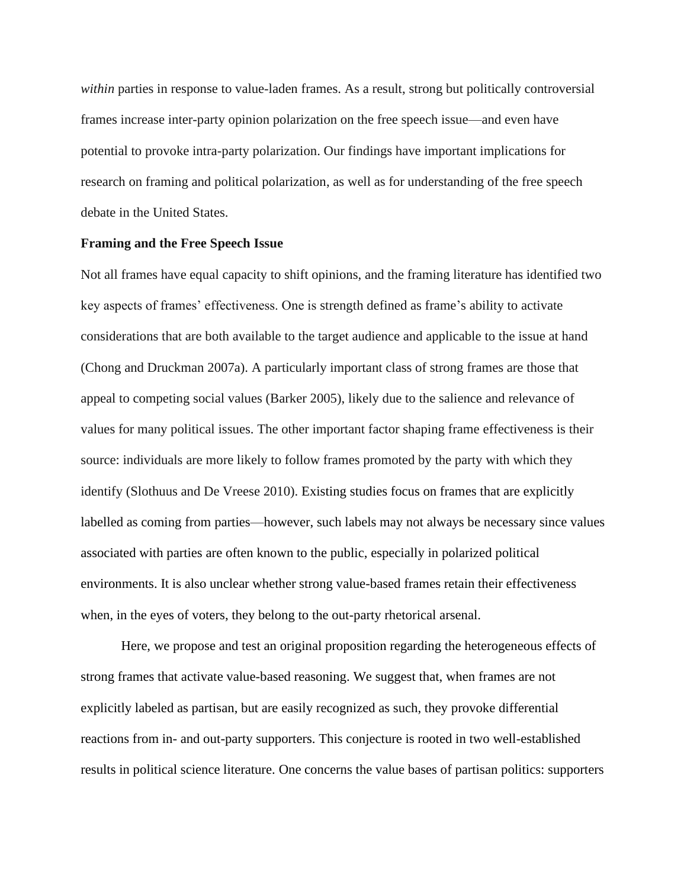*within* parties in response to value-laden frames. As a result, strong but politically controversial frames increase inter-party opinion polarization on the free speech issue—and even have potential to provoke intra-party polarization. Our findings have important implications for research on framing and political polarization, as well as for understanding of the free speech debate in the United States.

### **Framing and the Free Speech Issue**

Not all frames have equal capacity to shift opinions, and the framing literature has identified two key aspects of frames' effectiveness. One is strength defined as frame's ability to activate considerations that are both available to the target audience and applicable to the issue at hand (Chong and Druckman 2007a). A particularly important class of strong frames are those that appeal to competing social values (Barker 2005), likely due to the salience and relevance of values for many political issues. The other important factor shaping frame effectiveness is their source: individuals are more likely to follow frames promoted by the party with which they identify (Slothuus and De Vreese 2010). Existing studies focus on frames that are explicitly labelled as coming from parties—however, such labels may not always be necessary since values associated with parties are often known to the public, especially in polarized political environments. It is also unclear whether strong value-based frames retain their effectiveness when, in the eyes of voters, they belong to the out-party rhetorical arsenal.

Here, we propose and test an original proposition regarding the heterogeneous effects of strong frames that activate value-based reasoning. We suggest that, when frames are not explicitly labeled as partisan, but are easily recognized as such, they provoke differential reactions from in- and out-party supporters. This conjecture is rooted in two well-established results in political science literature. One concerns the value bases of partisan politics: supporters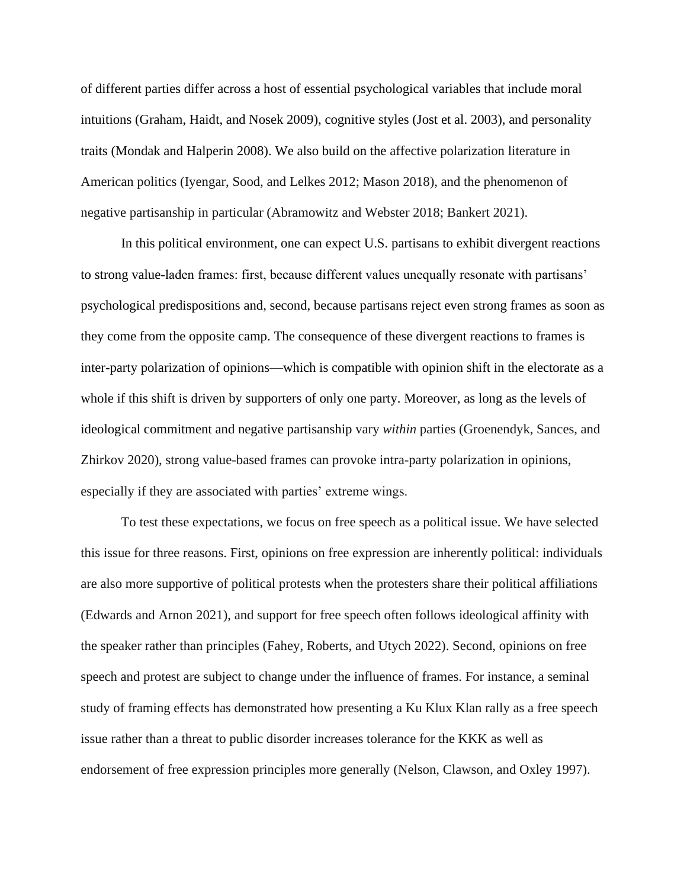of different parties differ across a host of essential psychological variables that include moral intuitions (Graham, Haidt, and Nosek 2009), cognitive styles (Jost et al. 2003), and personality traits (Mondak and Halperin 2008). We also build on the affective polarization literature in American politics (Iyengar, Sood, and Lelkes 2012; Mason 2018), and the phenomenon of negative partisanship in particular (Abramowitz and Webster 2018; Bankert 2021).

In this political environment, one can expect U.S. partisans to exhibit divergent reactions to strong value-laden frames: first, because different values unequally resonate with partisans' psychological predispositions and, second, because partisans reject even strong frames as soon as they come from the opposite camp. The consequence of these divergent reactions to frames is inter-party polarization of opinions—which is compatible with opinion shift in the electorate as a whole if this shift is driven by supporters of only one party. Moreover, as long as the levels of ideological commitment and negative partisanship vary *within* parties (Groenendyk, Sances, and Zhirkov 2020), strong value-based frames can provoke intra-party polarization in opinions, especially if they are associated with parties' extreme wings.

To test these expectations, we focus on free speech as a political issue. We have selected this issue for three reasons. First, opinions on free expression are inherently political: individuals are also more supportive of political protests when the protesters share their political affiliations (Edwards and Arnon 2021), and support for free speech often follows ideological affinity with the speaker rather than principles (Fahey, Roberts, and Utych 2022). Second, opinions on free speech and protest are subject to change under the influence of frames. For instance, a seminal study of framing effects has demonstrated how presenting a Ku Klux Klan rally as a free speech issue rather than a threat to public disorder increases tolerance for the KKK as well as endorsement of free expression principles more generally (Nelson, Clawson, and Oxley 1997).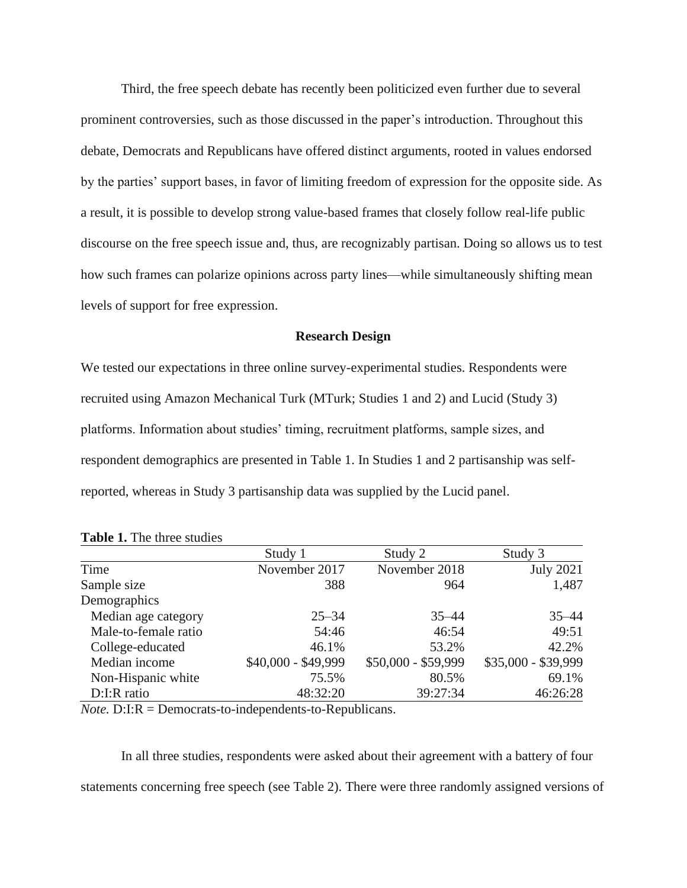Third, the free speech debate has recently been politicized even further due to several prominent controversies, such as those discussed in the paper's introduction. Throughout this debate, Democrats and Republicans have offered distinct arguments, rooted in values endorsed by the parties' support bases, in favor of limiting freedom of expression for the opposite side. As a result, it is possible to develop strong value-based frames that closely follow real-life public discourse on the free speech issue and, thus, are recognizably partisan. Doing so allows us to test how such frames can polarize opinions across party lines—while simultaneously shifting mean levels of support for free expression.

#### **Research Design**

We tested our expectations in three online survey-experimental studies. Respondents were recruited using Amazon Mechanical Turk (MTurk; Studies 1 and 2) and Lucid (Study 3) platforms. Information about studies' timing, recruitment platforms, sample sizes, and respondent demographics are presented in Table 1. In Studies 1 and 2 partisanship was selfreported, whereas in Study 3 partisanship data was supplied by the Lucid panel.

|                      | Study 1             | Study 2             | Study 3             |
|----------------------|---------------------|---------------------|---------------------|
| Time                 | November 2017       | November 2018       | <b>July 2021</b>    |
| Sample size          | 388                 | 964                 | 1,487               |
| Demographics         |                     |                     |                     |
| Median age category  | $25 - 34$           | $35 - 44$           | $35 - 44$           |
| Male-to-female ratio | 54:46               | 46:54               | 49:51               |
| College-educated     | 46.1%               | 53.2%               | 42.2%               |
| Median income        | \$40,000 - \$49,999 | \$50,000 - \$59,999 | \$35,000 - \$39,999 |
| Non-Hispanic white   | 75.5%               | 80.5%               | 69.1%               |
| D:I:R ratio          | 48:32:20            | 39:27:34            | 46:26:28            |

**Table 1.** The three studies

*Note.* D:I:R = Democrats-to-independents-to-Republicans.

In all three studies, respondents were asked about their agreement with a battery of four statements concerning free speech (see Table 2). There were three randomly assigned versions of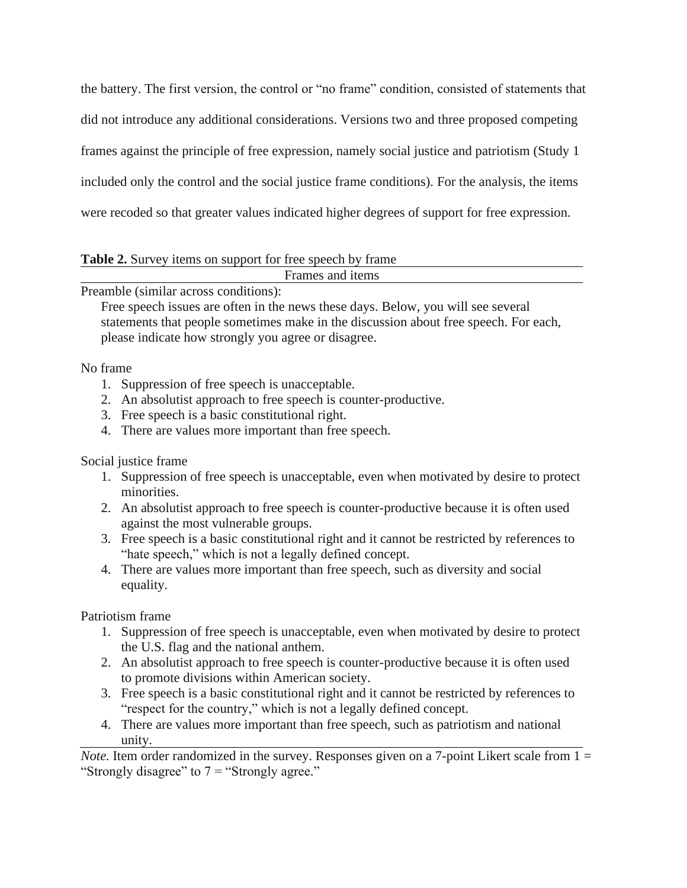the battery. The first version, the control or "no frame" condition, consisted of statements that did not introduce any additional considerations. Versions two and three proposed competing frames against the principle of free expression, namely social justice and patriotism (Study 1 included only the control and the social justice frame conditions). For the analysis, the items were recoded so that greater values indicated higher degrees of support for free expression.

**Table 2.** Survey items on support for free speech by frame

Frames and items

Preamble (similar across conditions):

Free speech issues are often in the news these days. Below, you will see several statements that people sometimes make in the discussion about free speech. For each, please indicate how strongly you agree or disagree.

No frame

- 1. Suppression of free speech is unacceptable.
- 2. An absolutist approach to free speech is counter-productive.
- 3. Free speech is a basic constitutional right.
- 4. There are values more important than free speech.

Social justice frame

- 1. Suppression of free speech is unacceptable, even when motivated by desire to protect minorities.
- 2. An absolutist approach to free speech is counter-productive because it is often used against the most vulnerable groups.
- 3. Free speech is a basic constitutional right and it cannot be restricted by references to "hate speech," which is not a legally defined concept.
- 4. There are values more important than free speech, such as diversity and social equality.

Patriotism frame

- 1. Suppression of free speech is unacceptable, even when motivated by desire to protect the U.S. flag and the national anthem.
- 2. An absolutist approach to free speech is counter-productive because it is often used to promote divisions within American society.
- 3. Free speech is a basic constitutional right and it cannot be restricted by references to "respect for the country," which is not a legally defined concept.
- 4. There are values more important than free speech, such as patriotism and national unity.

*Note.* Item order randomized in the survey. Responses given on a 7-point Likert scale from 1 = "Strongly disagree" to  $7 =$  "Strongly agree."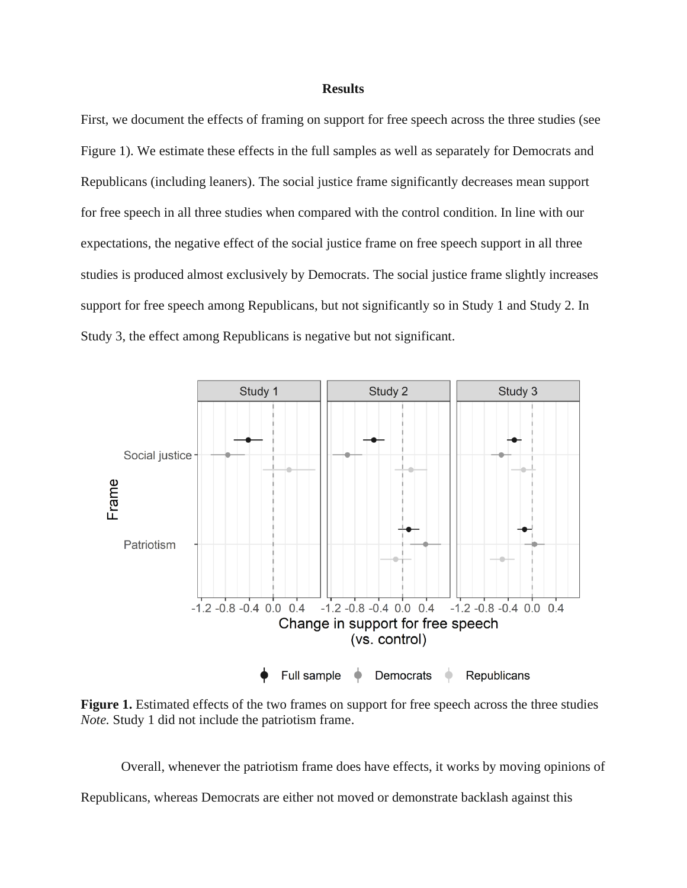#### **Results**

First, we document the effects of framing on support for free speech across the three studies (see Figure 1). We estimate these effects in the full samples as well as separately for Democrats and Republicans (including leaners). The social justice frame significantly decreases mean support for free speech in all three studies when compared with the control condition. In line with our expectations, the negative effect of the social justice frame on free speech support in all three studies is produced almost exclusively by Democrats. The social justice frame slightly increases support for free speech among Republicans, but not significantly so in Study 1 and Study 2. In Study 3, the effect among Republicans is negative but not significant.



**Figure 1.** Estimated effects of the two frames on support for free speech across the three studies *Note.* Study 1 did not include the patriotism frame.

Overall, whenever the patriotism frame does have effects, it works by moving opinions of Republicans, whereas Democrats are either not moved or demonstrate backlash against this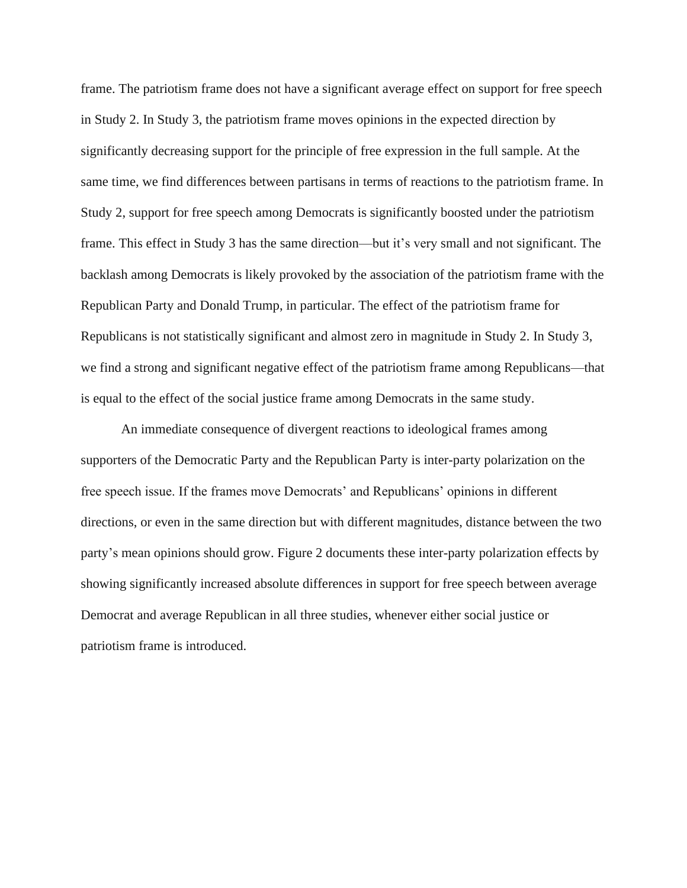frame. The patriotism frame does not have a significant average effect on support for free speech in Study 2. In Study 3, the patriotism frame moves opinions in the expected direction by significantly decreasing support for the principle of free expression in the full sample. At the same time, we find differences between partisans in terms of reactions to the patriotism frame. In Study 2, support for free speech among Democrats is significantly boosted under the patriotism frame. This effect in Study 3 has the same direction—but it's very small and not significant. The backlash among Democrats is likely provoked by the association of the patriotism frame with the Republican Party and Donald Trump, in particular. The effect of the patriotism frame for Republicans is not statistically significant and almost zero in magnitude in Study 2. In Study 3, we find a strong and significant negative effect of the patriotism frame among Republicans—that is equal to the effect of the social justice frame among Democrats in the same study.

An immediate consequence of divergent reactions to ideological frames among supporters of the Democratic Party and the Republican Party is inter-party polarization on the free speech issue. If the frames move Democrats' and Republicans' opinions in different directions, or even in the same direction but with different magnitudes, distance between the two party's mean opinions should grow. Figure 2 documents these inter-party polarization effects by showing significantly increased absolute differences in support for free speech between average Democrat and average Republican in all three studies, whenever either social justice or patriotism frame is introduced.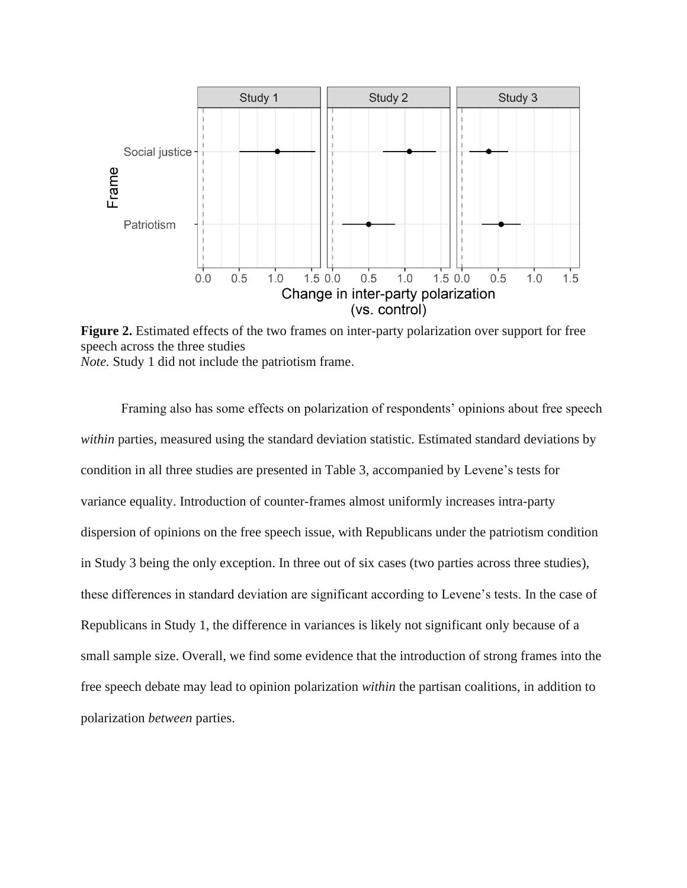

**Figure 2.** Estimated effects of the two frames on inter-party polarization over support for free speech across the three studies *Note.* Study 1 did not include the patriotism frame.

Framing also has some effects on polarization of respondents' opinions about free speech *within* parties, measured using the standard deviation statistic. Estimated standard deviations by condition in all three studies are presented in Table 3, accompanied by Levene's tests for variance equality. Introduction of counter-frames almost uniformly increases intra-party dispersion of opinions on the free speech issue, with Republicans under the patriotism condition in Study 3 being the only exception. In three out of six cases (two parties across three studies), these differences in standard deviation are significant according to Levene's tests. In the case of Republicans in Study 1, the difference in variances is likely not significant only because of a small sample size. Overall, we find some evidence that the introduction of strong frames into the free speech debate may lead to opinion polarization *within* the partisan coalitions, in addition to polarization *between* parties.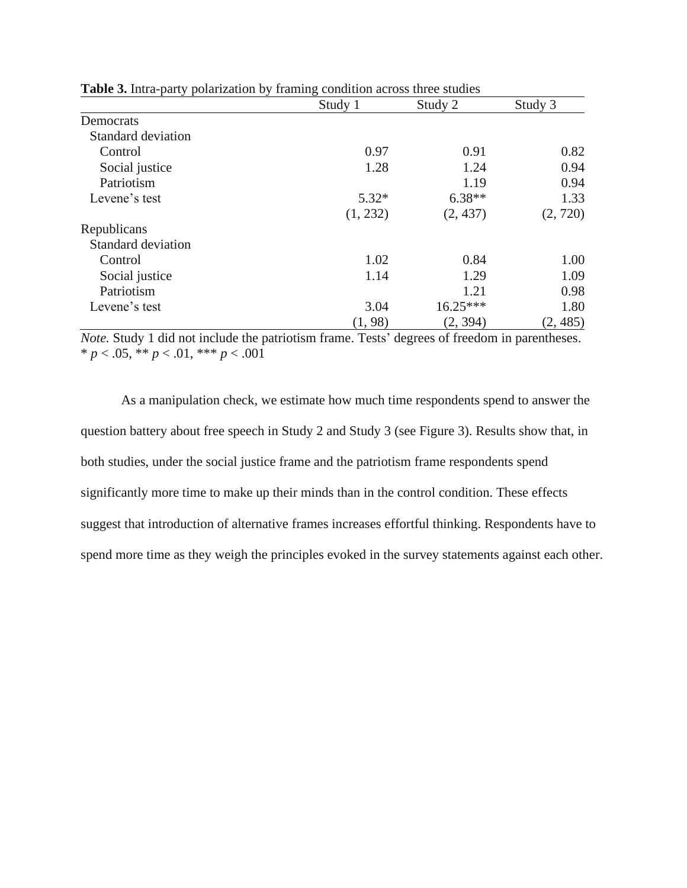|                           | Study 1  | Study 2    | Study 3  |
|---------------------------|----------|------------|----------|
| Democrats                 |          |            |          |
| Standard deviation        |          |            |          |
| Control                   | 0.97     | 0.91       | 0.82     |
| Social justice            | 1.28     | 1.24       | 0.94     |
| Patriotism                |          | 1.19       | 0.94     |
| Levene's test             | $5.32*$  | $6.38**$   | 1.33     |
|                           | (1, 232) | (2, 437)   | (2, 720) |
| Republicans               |          |            |          |
| <b>Standard deviation</b> |          |            |          |
| Control                   | 1.02     | 0.84       | 1.00     |
| Social justice            | 1.14     | 1.29       | 1.09     |
| Patriotism                |          | 1.21       | 0.98     |
| Levene's test             | 3.04     | $16.25***$ | 1.80     |
|                           | (1, 98)  | (2, 394)   | (2, 485) |

**Table 3.** Intra-party polarization by framing condition across three studies

*Note.* Study 1 did not include the patriotism frame. Tests' degrees of freedom in parentheses.  $* p < .05, ** p < .01, ** p < .001$ 

As a manipulation check, we estimate how much time respondents spend to answer the question battery about free speech in Study 2 and Study 3 (see Figure 3). Results show that, in both studies, under the social justice frame and the patriotism frame respondents spend significantly more time to make up their minds than in the control condition. These effects suggest that introduction of alternative frames increases effortful thinking. Respondents have to spend more time as they weigh the principles evoked in the survey statements against each other.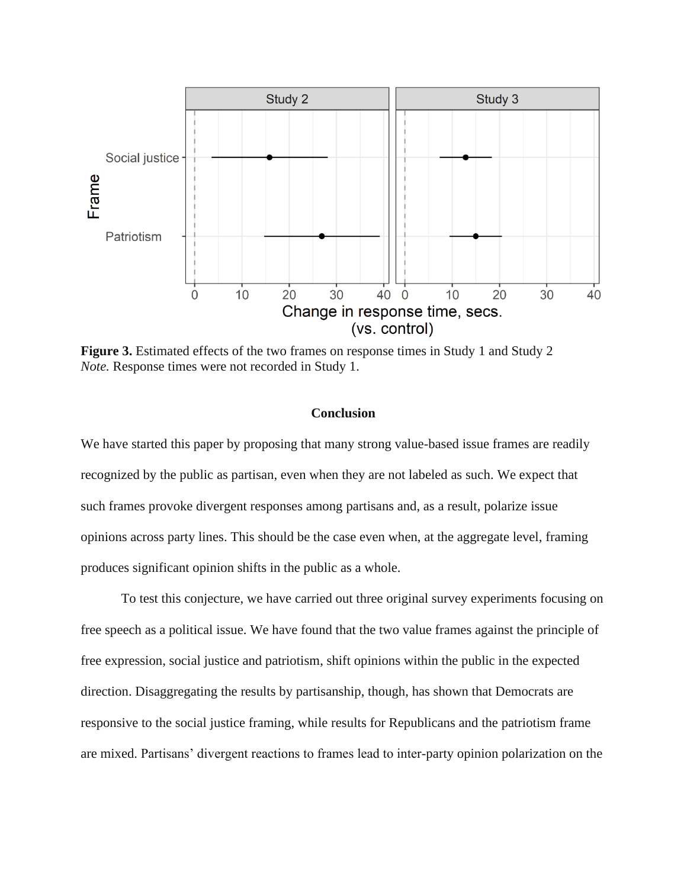

**Figure 3.** Estimated effects of the two frames on response times in Study 1 and Study 2 *Note.* Response times were not recorded in Study 1.

## **Conclusion**

We have started this paper by proposing that many strong value-based issue frames are readily recognized by the public as partisan, even when they are not labeled as such. We expect that such frames provoke divergent responses among partisans and, as a result, polarize issue opinions across party lines. This should be the case even when, at the aggregate level, framing produces significant opinion shifts in the public as a whole.

To test this conjecture, we have carried out three original survey experiments focusing on free speech as a political issue. We have found that the two value frames against the principle of free expression, social justice and patriotism, shift opinions within the public in the expected direction. Disaggregating the results by partisanship, though, has shown that Democrats are responsive to the social justice framing, while results for Republicans and the patriotism frame are mixed. Partisans' divergent reactions to frames lead to inter-party opinion polarization on the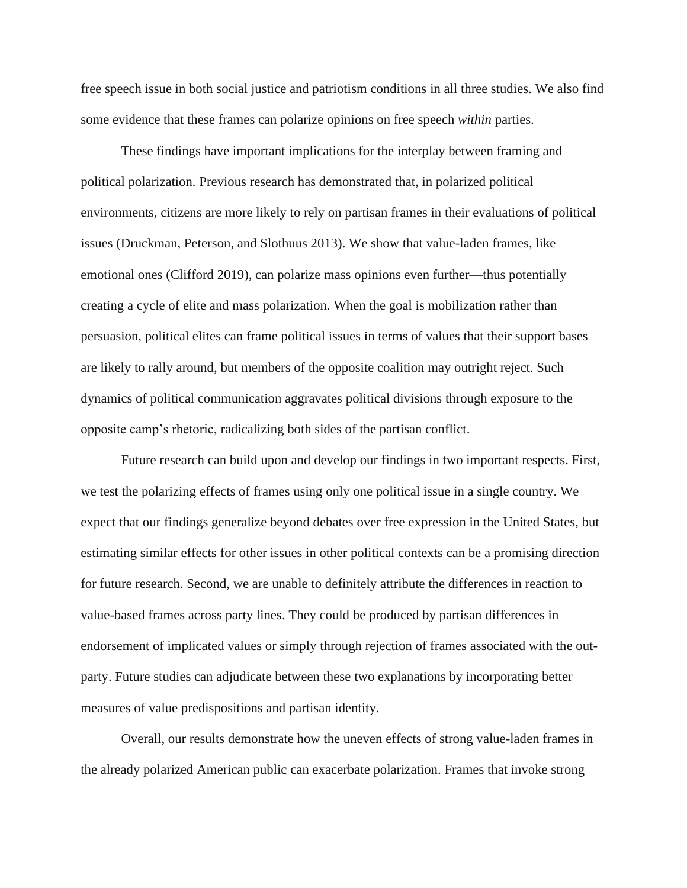free speech issue in both social justice and patriotism conditions in all three studies. We also find some evidence that these frames can polarize opinions on free speech *within* parties.

These findings have important implications for the interplay between framing and political polarization. Previous research has demonstrated that, in polarized political environments, citizens are more likely to rely on partisan frames in their evaluations of political issues (Druckman, Peterson, and Slothuus 2013). We show that value-laden frames, like emotional ones (Clifford 2019), can polarize mass opinions even further—thus potentially creating a cycle of elite and mass polarization. When the goal is mobilization rather than persuasion, political elites can frame political issues in terms of values that their support bases are likely to rally around, but members of the opposite coalition may outright reject. Such dynamics of political communication aggravates political divisions through exposure to the opposite camp's rhetoric, radicalizing both sides of the partisan conflict.

Future research can build upon and develop our findings in two important respects. First, we test the polarizing effects of frames using only one political issue in a single country. We expect that our findings generalize beyond debates over free expression in the United States, but estimating similar effects for other issues in other political contexts can be a promising direction for future research. Second, we are unable to definitely attribute the differences in reaction to value-based frames across party lines. They could be produced by partisan differences in endorsement of implicated values or simply through rejection of frames associated with the outparty. Future studies can adjudicate between these two explanations by incorporating better measures of value predispositions and partisan identity.

Overall, our results demonstrate how the uneven effects of strong value-laden frames in the already polarized American public can exacerbate polarization. Frames that invoke strong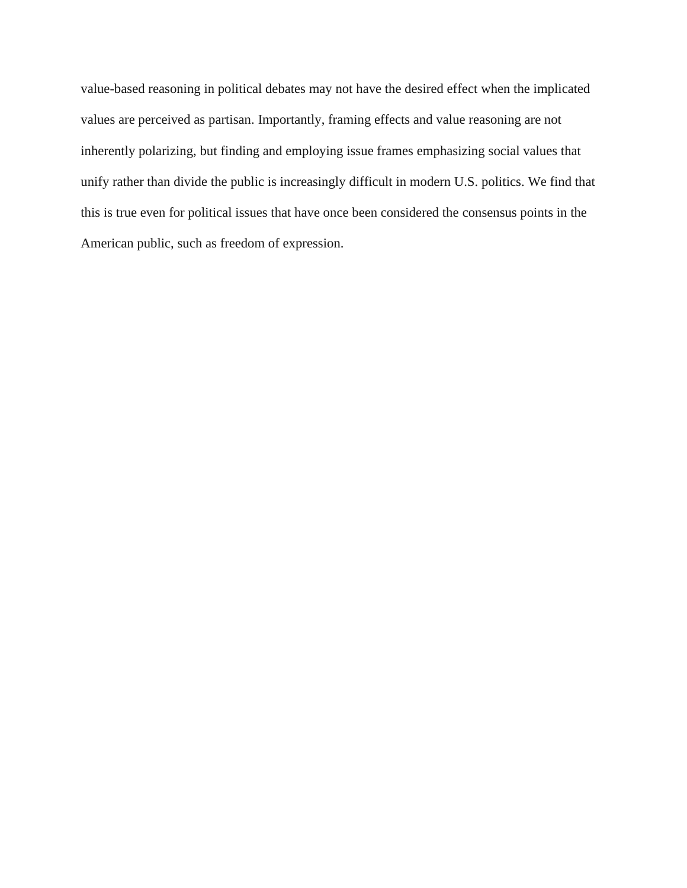value-based reasoning in political debates may not have the desired effect when the implicated values are perceived as partisan. Importantly, framing effects and value reasoning are not inherently polarizing, but finding and employing issue frames emphasizing social values that unify rather than divide the public is increasingly difficult in modern U.S. politics. We find that this is true even for political issues that have once been considered the consensus points in the American public, such as freedom of expression.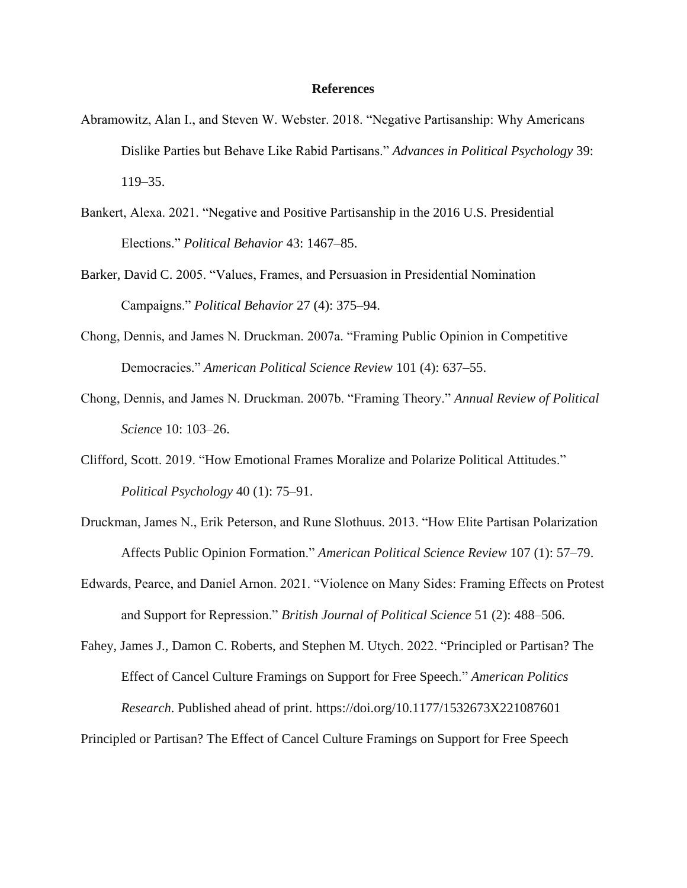#### **References**

- Abramowitz, Alan I., and Steven W. Webster. 2018. "Negative Partisanship: Why Americans Dislike Parties but Behave Like Rabid Partisans." *Advances in Political Psychology* 39: 119–35.
- Bankert, Alexa. 2021. "Negative and Positive Partisanship in the 2016 U.S. Presidential Elections." *Political Behavior* 43: 1467–85.
- Barker, David C. 2005. "Values, Frames, and Persuasion in Presidential Nomination Campaigns." *Political Behavior* 27 (4): 375–94.
- Chong, Dennis, and James N. Druckman. 2007a. "Framing Public Opinion in Competitive Democracies." *American Political Science Review* 101 (4): 637–55.
- Chong, Dennis, and James N. Druckman. 2007b. "Framing Theory." *Annual Review of Political Scienc*e 10: 103–26.
- Clifford, Scott. 2019. "How Emotional Frames Moralize and Polarize Political Attitudes." *Political Psychology* 40 (1): 75–91.
- Druckman, James N., Erik Peterson, and Rune Slothuus. 2013. "How Elite Partisan Polarization Affects Public Opinion Formation." *American Political Science Review* 107 (1): 57–79.
- Edwards, Pearce, and Daniel Arnon. 2021. "Violence on Many Sides: Framing Effects on Protest and Support for Repression." *British Journal of Political Science* 51 (2): 488–506.

Fahey, James J., Damon C. Roberts, and Stephen M. Utych. 2022. "Principled or Partisan? The Effect of Cancel Culture Framings on Support for Free Speech." *American Politics Research*. Published ahead of print. https://doi.org/10.1177/1532673X221087601

Principled or Partisan? The Effect of Cancel Culture Framings on Support for Free Speech